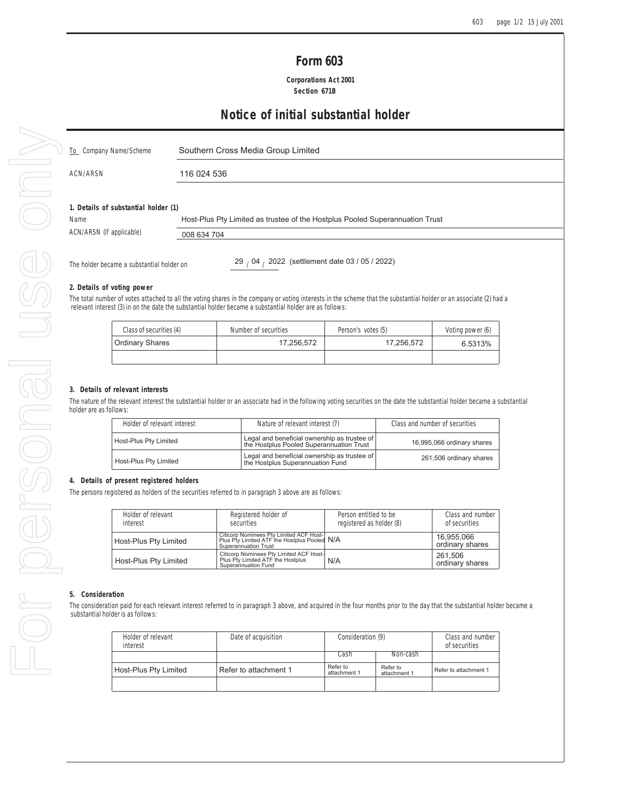| <b>Form 603</b> |  |
|-----------------|--|
|-----------------|--|

 **Corporations Act 2001 Section 671B**

# **Notice of initial substantial holder**

| $\Box$ To Company Name/Scheme | Southern Cross Media Group Limited |
|-------------------------------|------------------------------------|
| ACN/ARSN                      | 116 024 536                        |

### **1. Details of substantial holder (1)**

Name ACN/ARSN (if applicable) Host-Plus Pty Limited as trustee of the Hostplus Pooled Superannuation Trust

| able) | 008 634 704 |
|-------|-------------|
|       |             |

The holder became a substantial holder on

29 / 04 / 2022 (settlement date 03 / 05 / 2022)

### **2. Details of voting power**

The total number of votes attached to all the voting shares in the company or voting interests in the scheme that the substantial holder or an associate (2) had a relevant interest (3) in on the date the substantial holder became a substantial holder are as follows:

| Class of securities (4) | Number of securities | Person's votes (5) | Voting power (6) |
|-------------------------|----------------------|--------------------|------------------|
| <b>Ordinary Shares</b>  | 17.256.572           | 17.256.572         | 6.5313%          |
|                         |                      |                    |                  |

#### **3. Details of relevant interests**

The nature of the relevant interest the substantial holder or an associate had in the following voting securities on the date the substantial holder became a substantial holder are as follows:

| Holder of relevant interest | Nature of relevant interest (7)                                                                                 | Class and number of securities |
|-----------------------------|-----------------------------------------------------------------------------------------------------------------|--------------------------------|
| Host-Plus Pty Limited       | Legal and beneficial ownership as trustee of<br>the Hostplus Pooled Superannuation Trust                        | 16,995,066 ordinary shares     |
| Host-Plus Pty Limited       | $\left  \right $ Legal and beneficial ownership as trustee of $\left  \right $ the Hostplus Superannuation Fund | 261,506 ordinary shares        |

### **4. Details of present registered holders**

The persons registered as holders of the securities referred to in paragraph 3 above are as follows:

| Holder of relevant<br>Registered holder of<br>interest<br>securities                                                                     |  | Person entitled to be<br>registered as holder (8) | Class and number<br>of securities |
|------------------------------------------------------------------------------------------------------------------------------------------|--|---------------------------------------------------|-----------------------------------|
| Citicorp Nominees Pty Limited ACF Host-<br>Plus Pty Limited ATF the Hostplus Pooled N/A<br>Host-Plus Pty Limited<br>Superannuation Trust |  |                                                   | 16.955.066<br>ordinary shares     |
| Citicorp Nominees Pty Limited ACF Host-<br>Plus Pty Limited ATF the Hostplus<br>Host-Plus Pty Limited<br>Superannuation Fund             |  | N/A                                               | 261.506<br>ordinary shares        |

#### **5. Consideration**

The consideration paid for each relevant interest referred to in paragraph 3 above, and acquired in the four months prior to the day that the substantial holder became a substantial holder is as follows:

| Holder of relevant<br>interest | Date of acquisition   | Consideration (9)        |                          | Class and number<br>of securities |
|--------------------------------|-----------------------|--------------------------|--------------------------|-----------------------------------|
|                                |                       | Cash                     | Non-cash                 |                                   |
| Host-Plus Pty Limited          | Refer to attachment 1 | Refer to<br>attachment 1 | Refer to<br>attachment 1 | Refer to attachment 1             |
|                                |                       |                          |                          |                                   |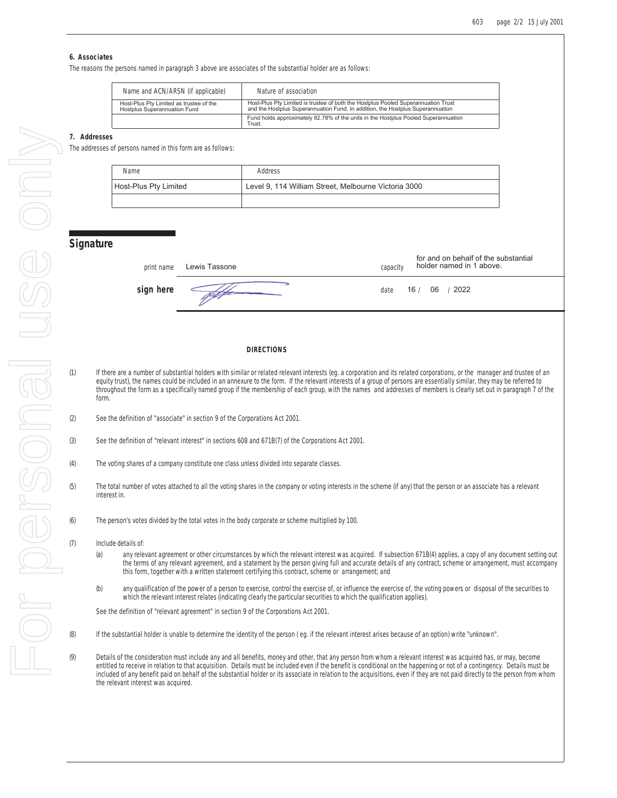### **6. Associates**

The reasons the persons named in paragraph 3 above are associates of the substantial holder are as follows:

| Name and ACN/ARSN (if applicable)                                       | Nature of association                                                                                                                                               |
|-------------------------------------------------------------------------|---------------------------------------------------------------------------------------------------------------------------------------------------------------------|
| Host-Plus Pty Limited as trustee of the<br>Hostplus Superannuation Fund | Host-Plus Pty Limited is trustee of both the Hostplus Pooled Superannuation Trust<br>and the Hostplus Superannuation Fund. In addition, the Hostplus Superannuation |
|                                                                         | Fund holds approximately 92.78% of the units in the Hostplus Pooled Superannuation<br>Trust.                                                                        |

## **7. Addresses**

The addresses of persons named in this form are as follows:

| Name                         | Address                                              |
|------------------------------|------------------------------------------------------|
| <b>Host-Plus Pty Limited</b> | Level 9, 114 William Street, Melbourne Victoria 3000 |
|                              |                                                      |

# **Signature**

| print name | Lewis Tassone | for and on behalf of the substantial<br>holder named in 1 above.<br>capacity |
|------------|---------------|------------------------------------------------------------------------------|
| sign here  |               | 16 / 06 / 2022<br>date                                                       |

#### **DIRECTIONS**

- (1) If there are a number of substantial holders with similar or related relevant interests (eg. a corporation and its related corporations, or the manager and trustee of an equity trust), the names could be included in an annexure to the form. If the relevant interests of a group of persons are essentially similar, they may be referred to throughout the form as a specifically named group if the membership of each group, with the names and addresses of members is clearly set out in paragraph 7 of the form.
- (2) See the definition of "associate" in section 9 of the Corporations Act 2001.
- (3) See the definition of "relevant interest" in sections 608 and 671B(7) of the Corporations Act 2001.
- (4) The voting shares of a company constitute one class unless divided into separate classes.
- (5) The total number of votes attached to all the voting shares in the company or voting interests in the scheme (if any) that the person or an associate has a relevant interest in.
- (6) The person's votes divided by the total votes in the body corporate or scheme multiplied by 100.
- (7) Include details of:
	- (a) any relevant agreement or other circumstances by which the relevant interest was acquired. If subsection 671B(4) applies, a copy of any document setting out the terms of any relevant agreement, and a statement by the person giving full and accurate details of any contract, scheme or arrangement, must accompany this form, together with a written statement certifying this contract, scheme or arrangement; and
	- (b) any qualification of the power of a person to exercise, control the exercise of, or influence the exercise of, the voting powers or disposal of the securities to which the relevant interest relates (indicating clearly the particular securities to which the qualification applies).

See the definition of "relevant agreement" in section 9 of the Corporations Act 2001.

- (8) If the substantial holder is unable to determine the identity of the person ( eg. if the relevant interest arises because of an option) write "unknown".
- (9) Details of the consideration must include any and all benefits, money and other, that any person from whom a relevant interest was acquired has, or may, become entitled to receive in relation to that acquisition. Details must be included even if the benefit is conditional on the happening or not of a contingency. Details must be included of any benefit paid on behalf of the substantial holder or its associate in relation to the acquisitions, even if they are not paid directly to the person from whom the relevant interest was acquired.